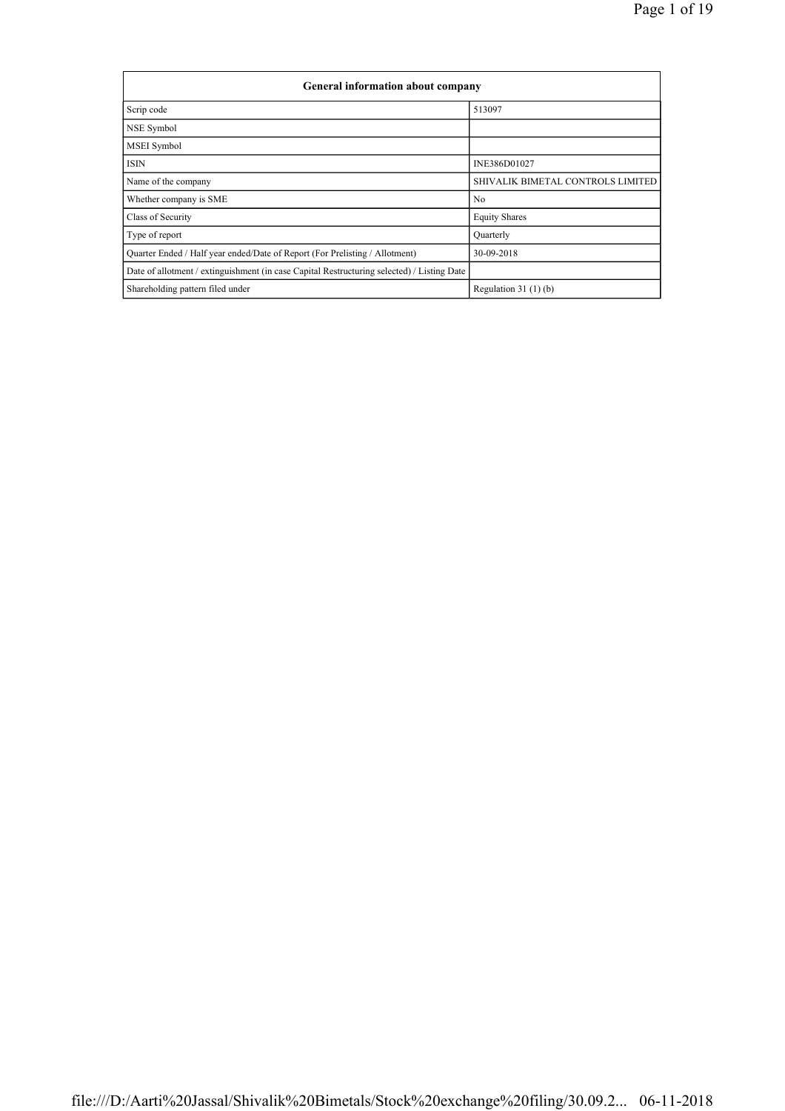| <b>General information about company</b>                                                   |                                   |
|--------------------------------------------------------------------------------------------|-----------------------------------|
| Scrip code                                                                                 | 513097                            |
| NSE Symbol                                                                                 |                                   |
| <b>MSEI</b> Symbol                                                                         |                                   |
| <b>ISIN</b>                                                                                | INE386D01027                      |
| Name of the company                                                                        | SHIVALIK BIMETAL CONTROLS LIMITED |
| Whether company is SME                                                                     | N <sub>0</sub>                    |
| Class of Security                                                                          | <b>Equity Shares</b>              |
| Type of report                                                                             | Quarterly                         |
| Quarter Ended / Half year ended/Date of Report (For Prelisting / Allotment)                | 30-09-2018                        |
| Date of allotment / extinguishment (in case Capital Restructuring selected) / Listing Date |                                   |
| Shareholding pattern filed under                                                           | Regulation $31(1)(b)$             |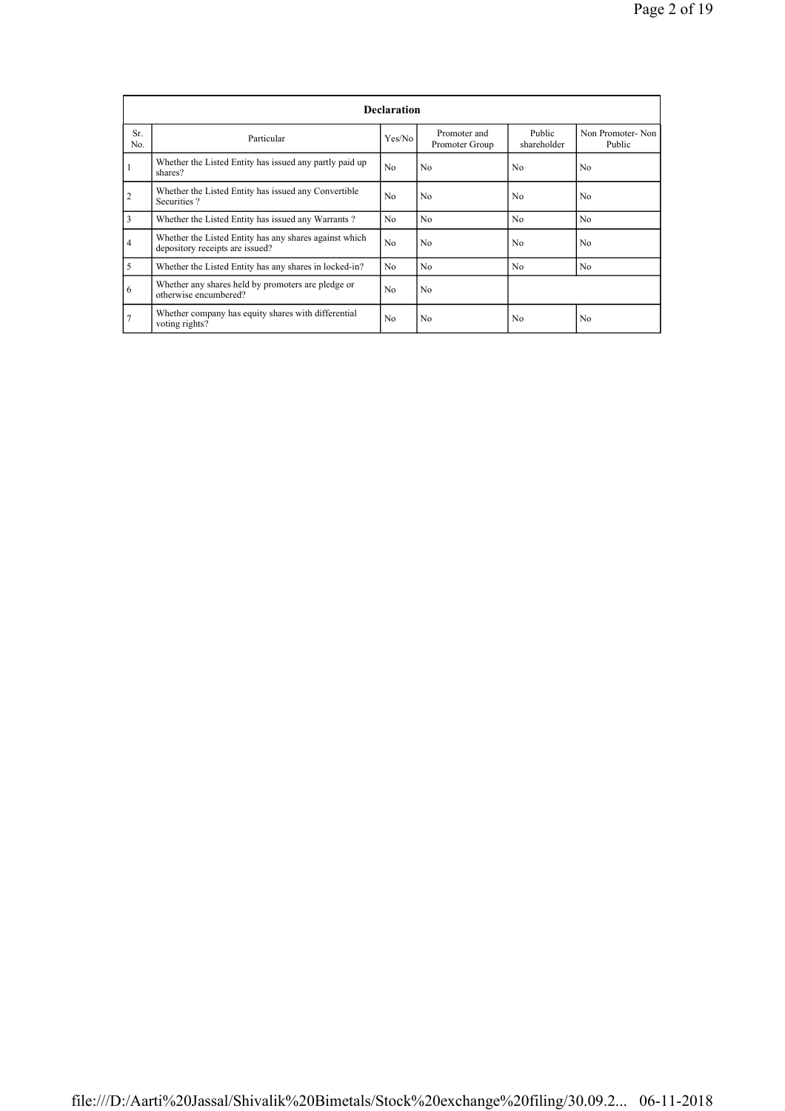|                |                                                                                           | <b>Declaration</b> |                                |                       |                            |
|----------------|-------------------------------------------------------------------------------------------|--------------------|--------------------------------|-----------------------|----------------------------|
| Sr.<br>No.     | Particular                                                                                | Yes/No             | Promoter and<br>Promoter Group | Public<br>shareholder | Non Promoter-Non<br>Public |
|                | Whether the Listed Entity has issued any partly paid up<br>shares?                        | No                 | N <sub>0</sub>                 | N <sub>0</sub>        | N <sub>0</sub>             |
| $\overline{c}$ | Whether the Listed Entity has issued any Convertible<br>Securities?                       | No.                | N <sub>0</sub>                 | No                    | No.                        |
| 3              | Whether the Listed Entity has issued any Warrants?                                        | No.                | N <sub>0</sub>                 | N <sub>0</sub>        | No.                        |
| $\overline{4}$ | Whether the Listed Entity has any shares against which<br>depository receipts are issued? | No                 | N <sub>0</sub>                 | N <sub>0</sub>        | N <sub>0</sub>             |
| 5              | Whether the Listed Entity has any shares in locked-in?                                    | N <sub>0</sub>     | N <sub>0</sub>                 | No                    | N <sub>0</sub>             |
| 6              | Whether any shares held by promoters are pledge or<br>otherwise encumbered?               | No                 | N <sub>0</sub>                 |                       |                            |
| 7              | Whether company has equity shares with differential<br>voting rights?                     | No                 | N <sub>0</sub>                 | No                    | N <sub>0</sub>             |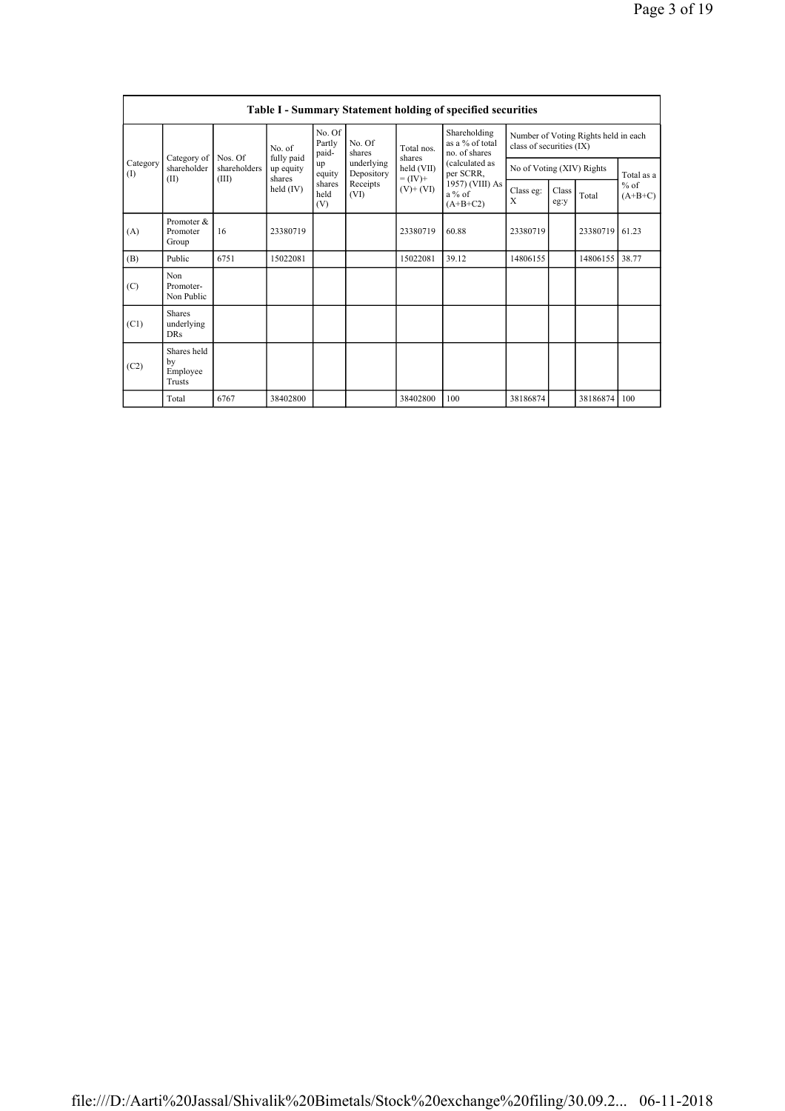|                 |                                           |                                                              |                           |                       |                          |                                                  | <b>Table I - Summary Statement holding of specified securities</b>                               |                           |               |          |                     |
|-----------------|-------------------------------------------|--------------------------------------------------------------|---------------------------|-----------------------|--------------------------|--------------------------------------------------|--------------------------------------------------------------------------------------------------|---------------------------|---------------|----------|---------------------|
|                 |                                           | No. of<br>Nos. Of<br>fully paid<br>shareholders<br>up equity | No. Of<br>Partly<br>paid- | No. Of<br>shares      | Total nos.               | Shareholding<br>as a % of total<br>no. of shares | Number of Voting Rights held in each<br>class of securities (IX)                                 |                           |               |          |                     |
| Category<br>(I) | Category of<br>shareholder                |                                                              | shares                    | up<br>equity          | underlying<br>Depository | held (VII)                                       | shares<br>(calculated as<br>per SCRR,<br>$= (IV) +$<br>1957) (VIII) As<br>$a\%$ of<br>$(A+B+C2)$ | No of Voting (XIV) Rights |               |          | Total as a          |
|                 | (II)                                      | (III)                                                        | held (IV)                 | shares<br>held<br>(V) | Receipts<br>(VI)         | $(V)$ + $(VI)$                                   |                                                                                                  | Class eg:<br>X            | Class<br>eg:y | Total    | $%$ of<br>$(A+B+C)$ |
| (A)             | Promoter &<br>Promoter<br>Group           | 16                                                           | 23380719                  |                       |                          | 23380719                                         | 60.88                                                                                            | 23380719                  |               | 23380719 | 61.23               |
| (B)             | Public                                    | 6751                                                         | 15022081                  |                       |                          | 15022081                                         | 39.12                                                                                            | 14806155                  |               | 14806155 | 38.77               |
| (C)             | Non<br>Promoter-<br>Non Public            |                                                              |                           |                       |                          |                                                  |                                                                                                  |                           |               |          |                     |
| (C1)            | <b>Shares</b><br>underlying<br><b>DRs</b> |                                                              |                           |                       |                          |                                                  |                                                                                                  |                           |               |          |                     |
| (C2)            | Shares held<br>by<br>Employee<br>Trusts   |                                                              |                           |                       |                          |                                                  |                                                                                                  |                           |               |          |                     |
|                 | Total                                     | 6767                                                         | 38402800                  |                       |                          | 38402800                                         | 100                                                                                              | 38186874                  |               | 38186874 | 100                 |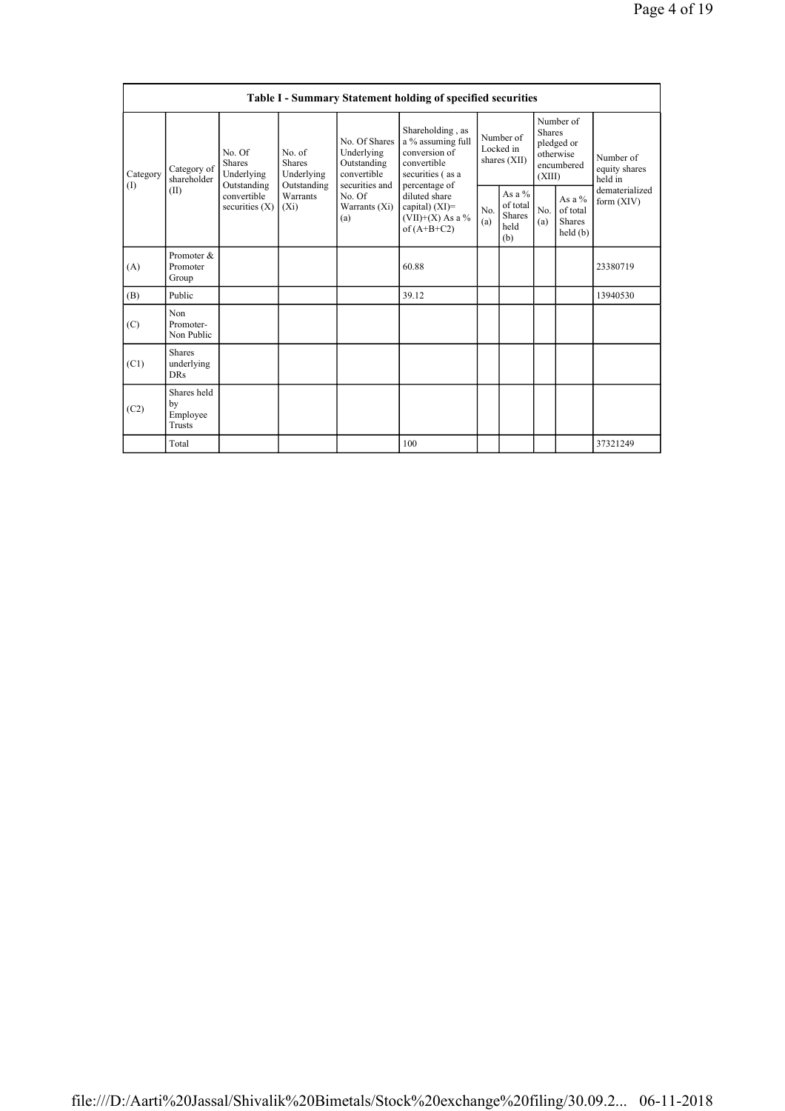|                 |                                           |                                                                                                                                                                        |                                |                                                                             | Table I - Summary Statement holding of specified securities                                                |                                               |            |                                                                               |                                |                                       |  |
|-----------------|-------------------------------------------|------------------------------------------------------------------------------------------------------------------------------------------------------------------------|--------------------------------|-----------------------------------------------------------------------------|------------------------------------------------------------------------------------------------------------|-----------------------------------------------|------------|-------------------------------------------------------------------------------|--------------------------------|---------------------------------------|--|
| Category<br>(1) | Category of<br>shareholder<br>(II)        | No. Of<br>No. of<br><b>Shares</b><br><b>Shares</b><br>Underlying<br>Underlying<br>Outstanding<br>Outstanding<br>convertible<br>Warrants<br>securities $(X)$<br>$(X_i)$ |                                | No. Of Shares<br>Underlying<br>Outstanding<br>convertible<br>securities and | Shareholding, as<br>a % assuming full<br>conversion of<br>convertible<br>securities (as a<br>percentage of | Number of<br>Locked in<br>shares (XII)        |            | Number of<br><b>Shares</b><br>pledged or<br>otherwise<br>encumbered<br>(XIII) |                                | Number of<br>equity shares<br>held in |  |
|                 |                                           |                                                                                                                                                                        | No. Of<br>Warrants (Xi)<br>(a) | diluted share<br>capital) $(XI)$ =<br>$(VII)+(X)$ As a %<br>of $(A+B+C2)$   | No.<br>(a)                                                                                                 | As a $%$<br>of total<br>Shares<br>held<br>(b) | No.<br>(a) | As a $%$<br>of total<br><b>Shares</b><br>held (b)                             | dematerialized<br>form $(XIV)$ |                                       |  |
| (A)             | Promoter &<br>Promoter<br>Group           |                                                                                                                                                                        |                                |                                                                             | 60.88                                                                                                      |                                               |            |                                                                               |                                | 23380719                              |  |
| (B)             | Public                                    |                                                                                                                                                                        |                                |                                                                             | 39.12                                                                                                      |                                               |            |                                                                               |                                | 13940530                              |  |
| (C)             | Non<br>Promoter-<br>Non Public            |                                                                                                                                                                        |                                |                                                                             |                                                                                                            |                                               |            |                                                                               |                                |                                       |  |
| (C1)            | <b>Shares</b><br>underlying<br><b>DRs</b> |                                                                                                                                                                        |                                |                                                                             |                                                                                                            |                                               |            |                                                                               |                                |                                       |  |
| (C2)            | Shares held<br>by<br>Employee<br>Trusts   |                                                                                                                                                                        |                                |                                                                             |                                                                                                            |                                               |            |                                                                               |                                |                                       |  |
|                 | Total                                     |                                                                                                                                                                        |                                |                                                                             | 100                                                                                                        |                                               |            |                                                                               |                                | 37321249                              |  |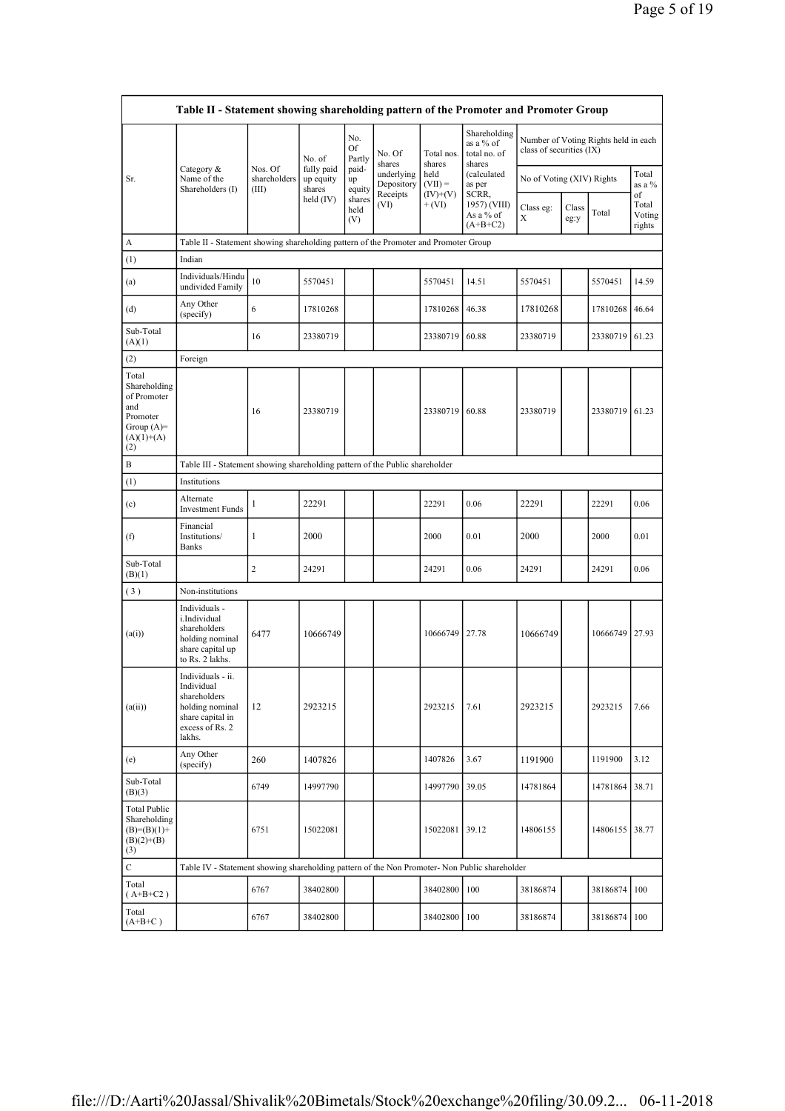|                                                                                                | Table II - Statement showing shareholding pattern of the Promoter and Promoter Group                                |                                  |                                   |                            |                          |                        |                                                     |                           |               |                                      |                                 |
|------------------------------------------------------------------------------------------------|---------------------------------------------------------------------------------------------------------------------|----------------------------------|-----------------------------------|----------------------------|--------------------------|------------------------|-----------------------------------------------------|---------------------------|---------------|--------------------------------------|---------------------------------|
|                                                                                                |                                                                                                                     |                                  | No. of                            | No.<br><b>Of</b><br>Partly | No. Of<br>shares         | Total nos.<br>shares   | Shareholding<br>as a % of<br>total no. of<br>shares | class of securities (IX)  |               | Number of Voting Rights held in each |                                 |
| Sr.                                                                                            | Category $\&$<br>Name of the<br>Shareholders (I)                                                                    | Nos. Of<br>shareholders<br>(III) | fully paid<br>up equity<br>shares | paid-<br>up<br>equity      | underlying<br>Depository | held<br>$(VII) =$      | (calculated<br>as per                               | No of Voting (XIV) Rights |               |                                      | Total<br>as a %                 |
|                                                                                                |                                                                                                                     |                                  | held (IV)                         | shares<br>held<br>(V)      | Receipts<br>(VI)         | $(IV)+(V)$<br>$+ (VI)$ | SCRR,<br>1957) (VIII)<br>As a % of<br>$(A+B+C2)$    | Class eg:<br>X            | Class<br>eg:y | Total                                | of<br>Total<br>Voting<br>rights |
| A                                                                                              | Table II - Statement showing shareholding pattern of the Promoter and Promoter Group                                |                                  |                                   |                            |                          |                        |                                                     |                           |               |                                      |                                 |
| (1)                                                                                            | Indian                                                                                                              |                                  |                                   |                            |                          |                        |                                                     |                           |               |                                      |                                 |
| (a)                                                                                            | Individuals/Hindu<br>undivided Family                                                                               | 10                               | 5570451                           |                            |                          | 5570451                | 14.51                                               | 5570451                   |               | 5570451                              | 14.59                           |
| (d)                                                                                            | Any Other<br>(specify)                                                                                              | 6                                | 17810268                          |                            |                          | 17810268               | 46.38                                               | 17810268                  |               | 17810268                             | 46.64                           |
| Sub-Total<br>(A)(1)                                                                            |                                                                                                                     | 16                               | 23380719                          |                            |                          | 23380719               | 60.88                                               | 23380719                  |               | 23380719                             | 61.23                           |
| (2)                                                                                            | Foreign                                                                                                             |                                  |                                   |                            |                          |                        |                                                     |                           |               |                                      |                                 |
| Total<br>Shareholding<br>of Promoter<br>and<br>Promoter<br>Group $(A)=$<br>$(A)(1)+(A)$<br>(2) |                                                                                                                     | 16                               | 23380719                          |                            |                          | 23380719 60.88         |                                                     | 23380719                  |               | 23380719                             | 61.23                           |
| B                                                                                              | Table III - Statement showing shareholding pattern of the Public shareholder                                        |                                  |                                   |                            |                          |                        |                                                     |                           |               |                                      |                                 |
| (1)                                                                                            | Institutions                                                                                                        |                                  |                                   |                            |                          |                        |                                                     |                           |               |                                      |                                 |
| (c)                                                                                            | Alternate<br><b>Investment Funds</b>                                                                                | $\mathbf{1}$                     | 22291                             |                            |                          | 22291                  | 0.06                                                | 22291                     |               | 22291                                | 0.06                            |
| (f)                                                                                            | Financial<br>Institutions/<br><b>Banks</b>                                                                          | $\mathbf{1}$                     | 2000                              |                            |                          | 2000                   | 0.01                                                | 2000                      |               | 2000                                 | 0.01                            |
| Sub-Total<br>(B)(1)                                                                            |                                                                                                                     | $\overline{c}$                   | 24291                             |                            |                          | 24291                  | 0.06                                                | 24291                     |               | 24291                                | 0.06                            |
| (3)                                                                                            | Non-institutions                                                                                                    |                                  |                                   |                            |                          |                        |                                                     |                           |               |                                      |                                 |
| (a(i))                                                                                         | Individuals -<br>i.Individual<br>shareholders<br>holding nominal<br>share capital up<br>to Rs. 2 lakhs.             | 6477                             | 10666749                          |                            |                          | 10666749 27.78         |                                                     | 10666749                  |               | 10666749                             | 27.93                           |
| (a(ii))                                                                                        | Individuals - ii.<br>Individual<br>shareholders<br>holding nominal<br>share capital in<br>excess of Rs. 2<br>lakhs. | 12                               | 2923215                           |                            |                          | 2923215                | 7.61                                                | 2923215                   |               | 2923215                              | 7.66                            |
| (e)                                                                                            | Any Other<br>(specify)                                                                                              | 260                              | 1407826                           |                            |                          | 1407826                | 3.67                                                | 1191900                   |               | 1191900                              | 3.12                            |
| Sub-Total<br>(B)(3)                                                                            |                                                                                                                     | 6749                             | 14997790                          |                            |                          | 14997790               | 39.05                                               | 14781864                  |               | 14781864                             | 38.71                           |
| <b>Total Public</b><br>Shareholding<br>$(B)= (B)(1) +$<br>$(B)(2)+(B)$<br>(3)                  |                                                                                                                     | 6751                             | 15022081                          |                            |                          | 15022081 39.12         |                                                     | 14806155                  |               | 14806155                             | 38.77                           |
| $\mathbf C$                                                                                    | Table IV - Statement showing shareholding pattern of the Non Promoter- Non Public shareholder                       |                                  |                                   |                            |                          |                        |                                                     |                           |               |                                      |                                 |
| Total<br>$(A+B+C2)$                                                                            |                                                                                                                     | 6767                             | 38402800                          |                            |                          | 38402800               | 100                                                 | 38186874                  |               | 38186874                             | 100                             |
| Total<br>$(A+B+C)$                                                                             |                                                                                                                     | 6767                             | 38402800                          |                            |                          | 38402800               | 100                                                 | 38186874                  |               | 38186874                             | 100                             |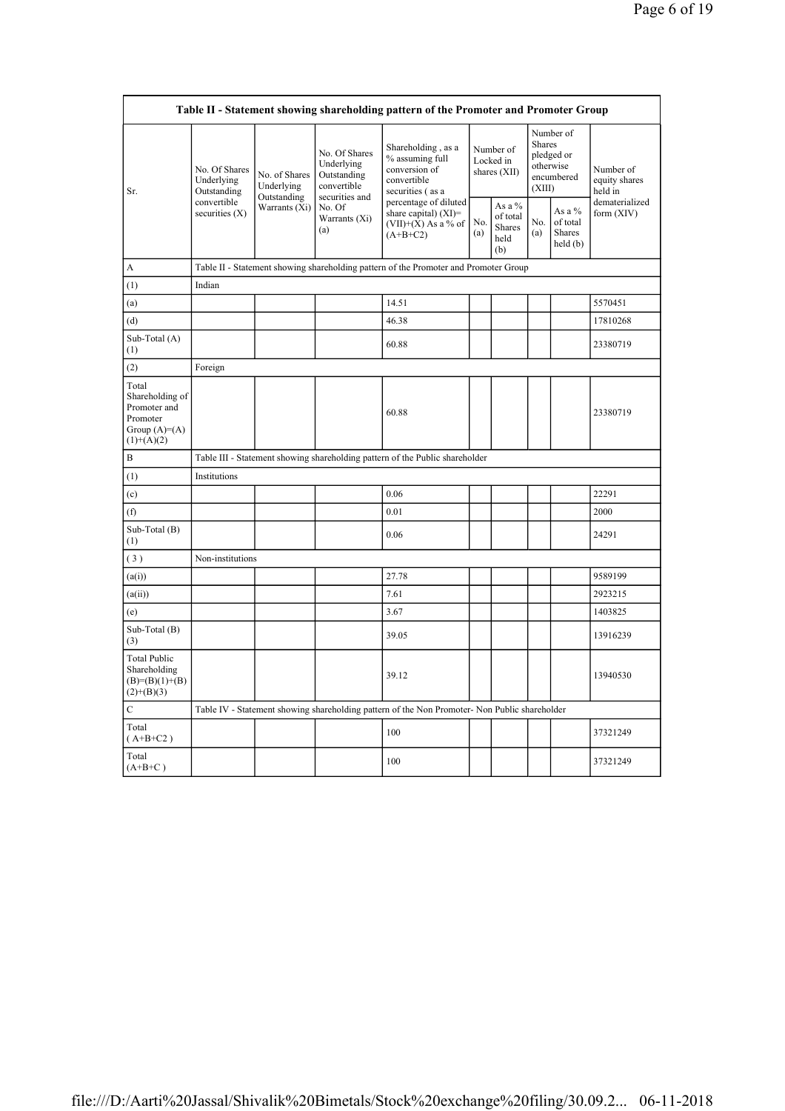|                                                                                        |                                                                               |                                            |                                                           | Table II - Statement showing shareholding pattern of the Promoter and Promoter Group          |                                        |                                                    |                                                                               |                                          |                                       |
|----------------------------------------------------------------------------------------|-------------------------------------------------------------------------------|--------------------------------------------|-----------------------------------------------------------|-----------------------------------------------------------------------------------------------|----------------------------------------|----------------------------------------------------|-------------------------------------------------------------------------------|------------------------------------------|---------------------------------------|
| Sr.                                                                                    | No. Of Shares<br>Underlying<br>Outstanding<br>convertible<br>securities $(X)$ | No. of Shares<br>Underlying<br>Outstanding | No. Of Shares<br>Underlying<br>Outstanding<br>convertible | Shareholding, as a<br>% assuming full<br>conversion of<br>convertible<br>securities (as a     | Number of<br>Locked in<br>shares (XII) |                                                    | Number of<br><b>Shares</b><br>pledged or<br>otherwise<br>encumbered<br>(XIII) |                                          | Number of<br>equity shares<br>held in |
|                                                                                        |                                                                               | Warrants (Xi)                              | securities and<br>No. Of<br>Warrants (Xi)<br>(a)          | percentage of diluted<br>share capital) $(XI)$ =<br>$(VII)+(X)$ As a % of<br>$(A+B+C2)$       | No.<br>(a)                             | As a %<br>of total<br><b>Shares</b><br>held<br>(b) | No.<br>(a)                                                                    | As a %<br>of total<br>Shares<br>held (b) | dematerialized<br>form $(XIV)$        |
| A                                                                                      |                                                                               |                                            |                                                           | Table II - Statement showing shareholding pattern of the Promoter and Promoter Group          |                                        |                                                    |                                                                               |                                          |                                       |
| (1)                                                                                    | Indian                                                                        |                                            |                                                           |                                                                                               |                                        |                                                    |                                                                               |                                          |                                       |
| (a)                                                                                    |                                                                               |                                            |                                                           | 14.51                                                                                         |                                        |                                                    |                                                                               |                                          | 5570451                               |
| (d)                                                                                    |                                                                               |                                            |                                                           | 46.38                                                                                         |                                        |                                                    |                                                                               |                                          | 17810268                              |
| Sub-Total (A)<br>(1)                                                                   |                                                                               |                                            |                                                           | 60.88                                                                                         |                                        |                                                    |                                                                               |                                          | 23380719                              |
| (2)                                                                                    | Foreign                                                                       |                                            |                                                           |                                                                                               |                                        |                                                    |                                                                               |                                          |                                       |
| Total<br>Shareholding of<br>Promoter and<br>Promoter<br>Group $(A)=A)$<br>$(1)+(A)(2)$ |                                                                               |                                            |                                                           | 60.88                                                                                         |                                        |                                                    |                                                                               |                                          | 23380719                              |
| B                                                                                      |                                                                               |                                            |                                                           | Table III - Statement showing shareholding pattern of the Public shareholder                  |                                        |                                                    |                                                                               |                                          |                                       |
| (1)                                                                                    | Institutions                                                                  |                                            |                                                           |                                                                                               |                                        |                                                    |                                                                               |                                          |                                       |
| (c)                                                                                    |                                                                               |                                            |                                                           | 0.06                                                                                          |                                        |                                                    |                                                                               |                                          | 22291                                 |
| (f)                                                                                    |                                                                               |                                            |                                                           | 0.01                                                                                          |                                        |                                                    |                                                                               |                                          | 2000                                  |
| $Sub-Total(B)$<br>(1)                                                                  |                                                                               |                                            |                                                           | 0.06                                                                                          |                                        |                                                    |                                                                               |                                          | 24291                                 |
| (3)                                                                                    | Non-institutions                                                              |                                            |                                                           |                                                                                               |                                        |                                                    |                                                                               |                                          |                                       |
| (a(i))                                                                                 |                                                                               |                                            |                                                           | 27.78                                                                                         |                                        |                                                    |                                                                               |                                          | 9589199                               |
| (a(ii))                                                                                |                                                                               |                                            |                                                           | 7.61                                                                                          |                                        |                                                    |                                                                               |                                          | 2923215                               |
| (e)                                                                                    |                                                                               |                                            |                                                           | 3.67                                                                                          |                                        |                                                    |                                                                               |                                          | 1403825                               |
| Sub-Total (B)<br>(3)                                                                   |                                                                               |                                            |                                                           | 39.05                                                                                         |                                        |                                                    |                                                                               |                                          | 13916239                              |
| <b>Total Public</b><br>Shareholding<br>$(B)= (B)(1)+(B)$<br>$(2)+(B)(3)$               |                                                                               |                                            |                                                           | 39.12                                                                                         |                                        |                                                    |                                                                               |                                          | 13940530                              |
| $\overline{C}$                                                                         |                                                                               |                                            |                                                           | Table IV - Statement showing shareholding pattern of the Non Promoter- Non Public shareholder |                                        |                                                    |                                                                               |                                          |                                       |
| Total<br>$(A+B+C2)$                                                                    |                                                                               |                                            |                                                           | 100                                                                                           |                                        |                                                    |                                                                               |                                          | 37321249                              |
| Total<br>$(A+B+C)$                                                                     |                                                                               |                                            |                                                           | 100                                                                                           |                                        |                                                    |                                                                               |                                          | 37321249                              |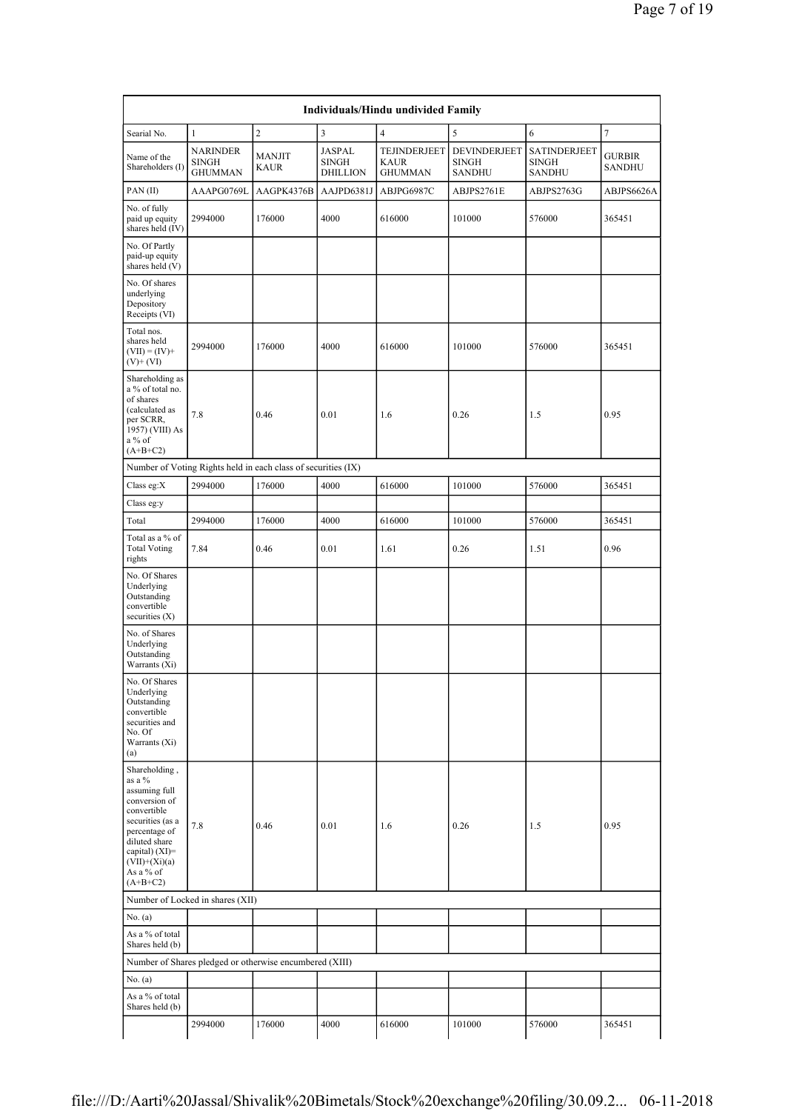| Searial No.                                                                                                                                                                                      |                                                   |                                                               |                                                  |                                               |                                        |                                               |                         |
|--------------------------------------------------------------------------------------------------------------------------------------------------------------------------------------------------|---------------------------------------------------|---------------------------------------------------------------|--------------------------------------------------|-----------------------------------------------|----------------------------------------|-----------------------------------------------|-------------------------|
|                                                                                                                                                                                                  | $\mathbf{1}$                                      | $\overline{2}$                                                | 3                                                | $\overline{4}$                                | 5                                      | 6                                             | 7                       |
| Name of the<br>Shareholders (I)                                                                                                                                                                  | <b>NARINDER</b><br><b>SINGH</b><br><b>GHUMMAN</b> | <b>MANJIT</b><br><b>KAUR</b>                                  | <b>JASPAL</b><br><b>SINGH</b><br><b>DHILLION</b> | TEJINDERJEET<br><b>KAUR</b><br><b>GHUMMAN</b> | DEVINDERJEET<br><b>SINGH</b><br>SANDHU | SATINDERJEET<br><b>SINGH</b><br><b>SANDHU</b> | GURBIR<br><b>SANDHU</b> |
| PAN(II)                                                                                                                                                                                          | AAAPG0769L                                        | AAGPK4376B                                                    | AAJPD6381J                                       | ABJPG6987C                                    | ABJPS2761E                             | ABJPS2763G                                    | ABJPS6626A              |
| No. of fully<br>paid up equity<br>shares held (IV)                                                                                                                                               | 2994000                                           | 176000                                                        | 4000                                             | 616000                                        | 101000                                 | 576000                                        | 365451                  |
| No. Of Partly<br>paid-up equity<br>shares held (V)                                                                                                                                               |                                                   |                                                               |                                                  |                                               |                                        |                                               |                         |
| No. Of shares<br>underlying<br>Depository<br>Receipts (VI)                                                                                                                                       |                                                   |                                                               |                                                  |                                               |                                        |                                               |                         |
| Total nos.<br>shares held<br>$(VII) = (IV) +$<br>$(V)$ + $(VI)$                                                                                                                                  | 2994000                                           | 176000                                                        | 4000                                             | 616000                                        | 101000                                 | 576000                                        | 365451                  |
| Shareholding as<br>a % of total no.<br>of shares<br>(calculated as<br>per SCRR,<br>1957) (VIII) As<br>a% of<br>$(A+B+C2)$                                                                        | 7.8                                               | 0.46                                                          | 0.01                                             | 1.6                                           | 0.26                                   | 1.5                                           | 0.95                    |
|                                                                                                                                                                                                  |                                                   | Number of Voting Rights held in each class of securities (IX) |                                                  |                                               |                                        |                                               |                         |
| Class eg:X                                                                                                                                                                                       | 2994000                                           | 176000                                                        | 4000                                             | 616000                                        | 101000                                 | 576000                                        | 365451                  |
| Class eg:y                                                                                                                                                                                       |                                                   |                                                               |                                                  |                                               |                                        |                                               |                         |
| Total                                                                                                                                                                                            | 2994000                                           | 176000                                                        | 4000                                             | 616000                                        | 101000                                 | 576000                                        | 365451                  |
| Total as a % of<br><b>Total Voting</b><br>rights                                                                                                                                                 | 7.84                                              | 0.46                                                          | 0.01                                             | 1.61                                          | 0.26                                   | 1.51                                          | 0.96                    |
| No. Of Shares<br>Underlying<br>Outstanding<br>convertible<br>securities $(X)$                                                                                                                    |                                                   |                                                               |                                                  |                                               |                                        |                                               |                         |
| No. of Shares<br>Underlying<br>Outstanding<br>Warrants (Xi)                                                                                                                                      |                                                   |                                                               |                                                  |                                               |                                        |                                               |                         |
| No. Of Shares<br>Underlying<br>Outstanding<br>convertible<br>securities and<br>No. Of<br>Warrants (Xi)<br>(a)                                                                                    |                                                   |                                                               |                                                  |                                               |                                        |                                               |                         |
| Shareholding,<br>as a %<br>assuming full<br>conversion of<br>convertible<br>securities (as a<br>percentage of<br>diluted share<br>capital) $(XI)=$<br>$(VII)+(Xi)(a)$<br>As a % of<br>$(A+B+C2)$ | 7.8                                               | 0.46                                                          | 0.01                                             | 1.6                                           | 0.26                                   | 1.5                                           | 0.95                    |
|                                                                                                                                                                                                  | Number of Locked in shares (XII)                  |                                                               |                                                  |                                               |                                        |                                               |                         |
| No. (a)<br>As a % of total                                                                                                                                                                       |                                                   |                                                               |                                                  |                                               |                                        |                                               |                         |
| Shares held (b)                                                                                                                                                                                  |                                                   |                                                               |                                                  |                                               |                                        |                                               |                         |
|                                                                                                                                                                                                  |                                                   | Number of Shares pledged or otherwise encumbered (XIII)       |                                                  |                                               |                                        |                                               |                         |
| No. (a)<br>As a % of total                                                                                                                                                                       |                                                   |                                                               |                                                  |                                               |                                        |                                               |                         |
|                                                                                                                                                                                                  |                                                   |                                                               |                                                  |                                               |                                        |                                               |                         |
| Shares held (b)                                                                                                                                                                                  |                                                   |                                                               |                                                  |                                               |                                        |                                               |                         |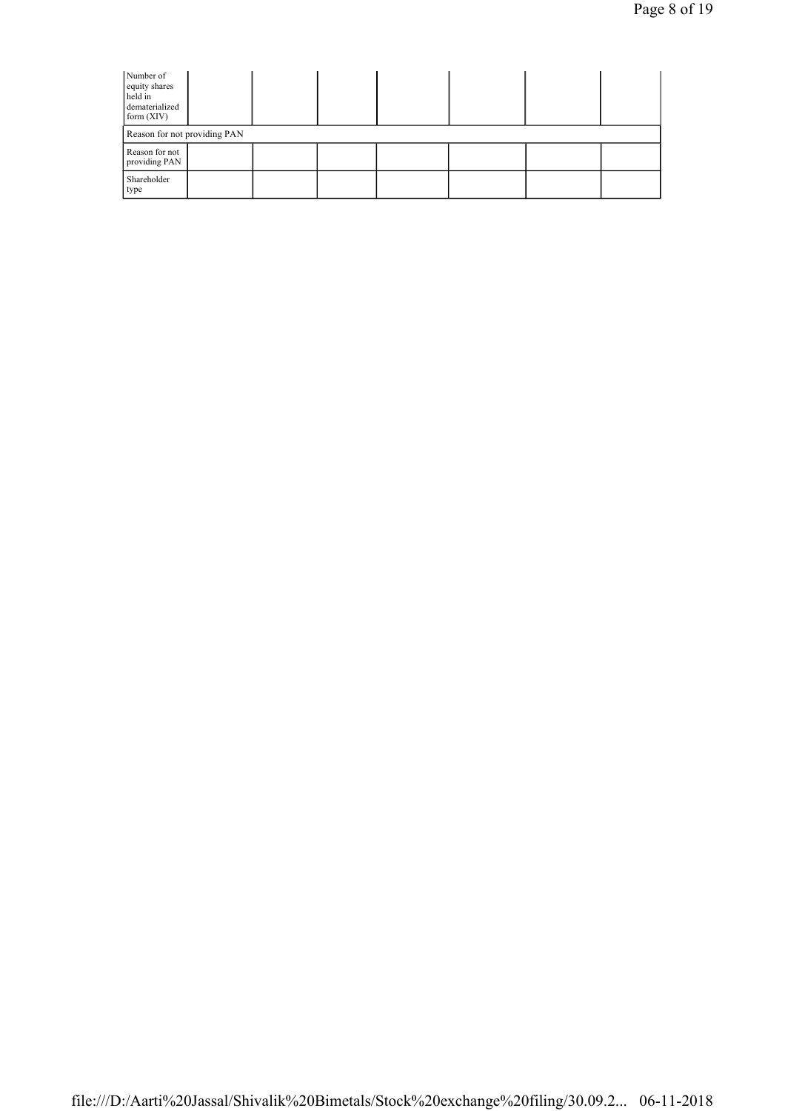| Number of<br>equity shares<br>held in<br>dematerialized<br>form $(XIV)$ |  |  |  |  |
|-------------------------------------------------------------------------|--|--|--|--|
| Reason for not providing PAN                                            |  |  |  |  |
| Reason for not<br>providing PAN                                         |  |  |  |  |
| Shareholder<br>type                                                     |  |  |  |  |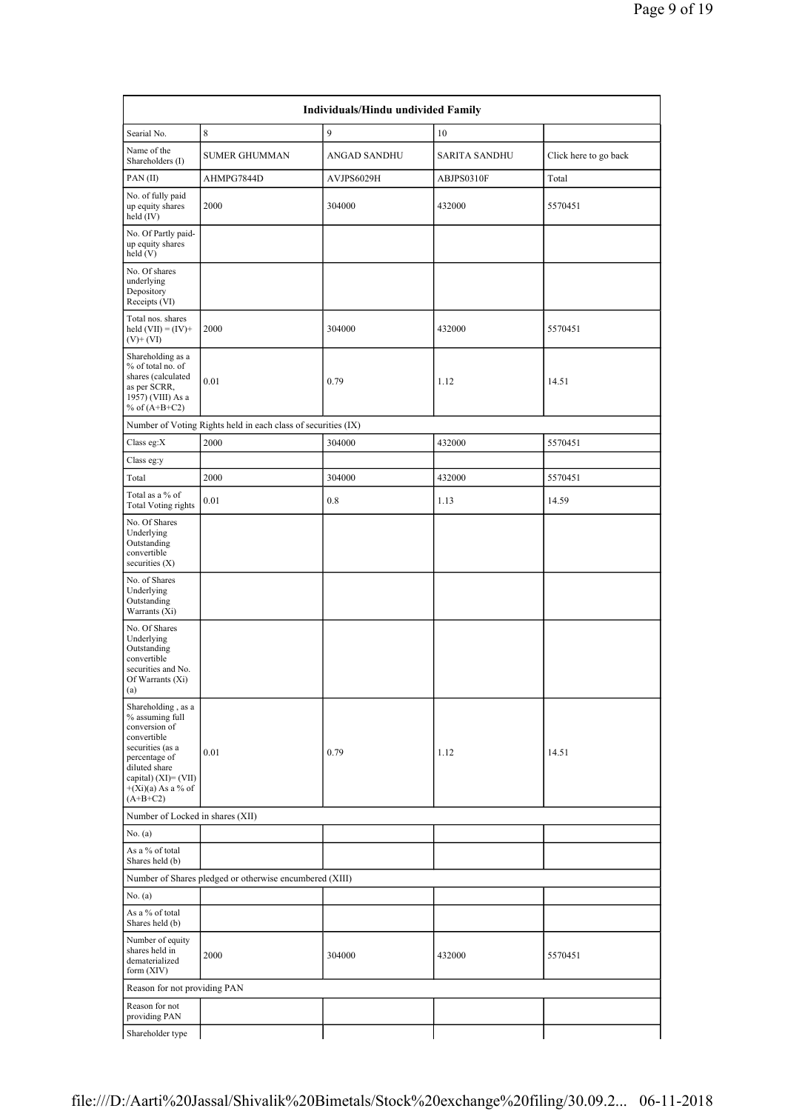|                                                                                                                                                                                           |                                                               | Individuals/Hindu undivided Family |                      |                       |
|-------------------------------------------------------------------------------------------------------------------------------------------------------------------------------------------|---------------------------------------------------------------|------------------------------------|----------------------|-----------------------|
| Searial No.                                                                                                                                                                               | $\,$ 8 $\,$                                                   | 9                                  | 10                   |                       |
| Name of the<br>Shareholders (I)                                                                                                                                                           | <b>SUMER GHUMMAN</b>                                          | ANGAD SANDHU                       | <b>SARITA SANDHU</b> | Click here to go back |
| PAN(II)                                                                                                                                                                                   | AHMPG7844D                                                    | AVJPS6029H                         | ABJPS0310F           | Total                 |
| No. of fully paid<br>up equity shares<br>held $(IV)$                                                                                                                                      | 2000                                                          | 304000                             | 432000               | 5570451               |
| No. Of Partly paid-<br>up equity shares<br>held (V)                                                                                                                                       |                                                               |                                    |                      |                       |
| No. Of shares<br>underlying<br>Depository<br>Receipts (VI)                                                                                                                                |                                                               |                                    |                      |                       |
| Total nos. shares<br>held $(VII) = (IV) +$<br>$(V)$ + $(VI)$                                                                                                                              | 2000                                                          | 304000                             | 432000               | 5570451               |
| Shareholding as a<br>% of total no. of<br>shares (calculated<br>as per SCRR,<br>1957) (VIII) As a<br>% of $(A+B+C2)$                                                                      | 0.01                                                          | 0.79                               | 1.12                 | 14.51                 |
|                                                                                                                                                                                           | Number of Voting Rights held in each class of securities (IX) |                                    |                      |                       |
| Class eg: $X$                                                                                                                                                                             | 2000                                                          | 304000                             | 432000               | 5570451               |
| Class eg:y                                                                                                                                                                                |                                                               |                                    |                      |                       |
| Total                                                                                                                                                                                     | 2000                                                          | 304000                             | 432000               | 5570451               |
| Total as a % of<br><b>Total Voting rights</b>                                                                                                                                             | 0.01                                                          | 0.8                                | 1.13                 | 14.59                 |
| No. Of Shares<br>Underlying<br>Outstanding<br>convertible<br>securities $(X)$                                                                                                             |                                                               |                                    |                      |                       |
| No. of Shares<br>Underlying<br>Outstanding<br>Warrants (Xi)                                                                                                                               |                                                               |                                    |                      |                       |
| No. Of Shares<br>Underlying<br>Outstanding<br>convertible<br>securities and No.<br>Of Warrants (Xi)<br>(a)                                                                                |                                                               |                                    |                      |                       |
| Shareholding, as a<br>% assuming full<br>conversion of<br>convertible<br>securities (as a<br>percentage of<br>diluted share<br>capital) (XI)= (VII)<br>$+(Xi)(a)$ As a % of<br>$(A+B+C2)$ | 0.01                                                          | 0.79                               | 1.12                 | 14.51                 |
| Number of Locked in shares (XII)                                                                                                                                                          |                                                               |                                    |                      |                       |
| No. $(a)$                                                                                                                                                                                 |                                                               |                                    |                      |                       |
| As a % of total<br>Shares held (b)                                                                                                                                                        |                                                               |                                    |                      |                       |

 $(a)$ 

No. (a)

As a % of total Shares held (b)

As a % of total Shares held (b) Number of equity shares held in dematerialized form (XIV)

Reason for not providing PAN Shareholder type

Reason for not providing PAN

Number of Shares pledged or otherwise encumbered (XIII)

2000 304000 432000 5570451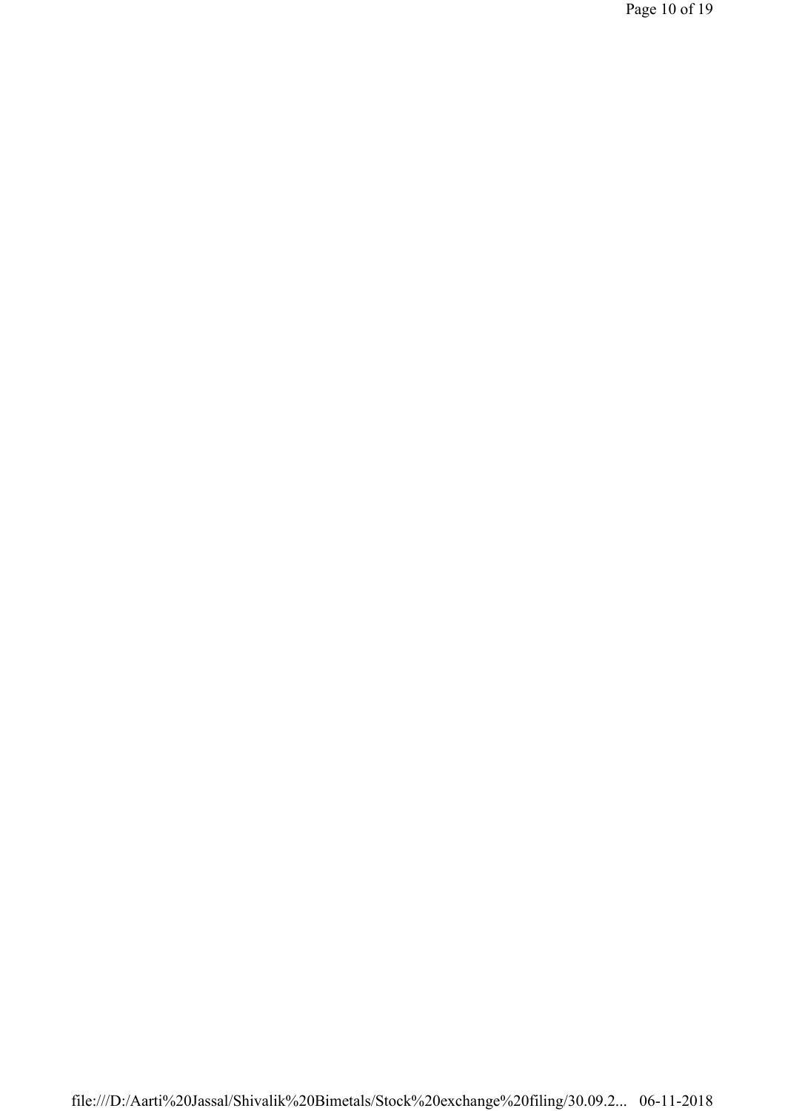Page 10 of 19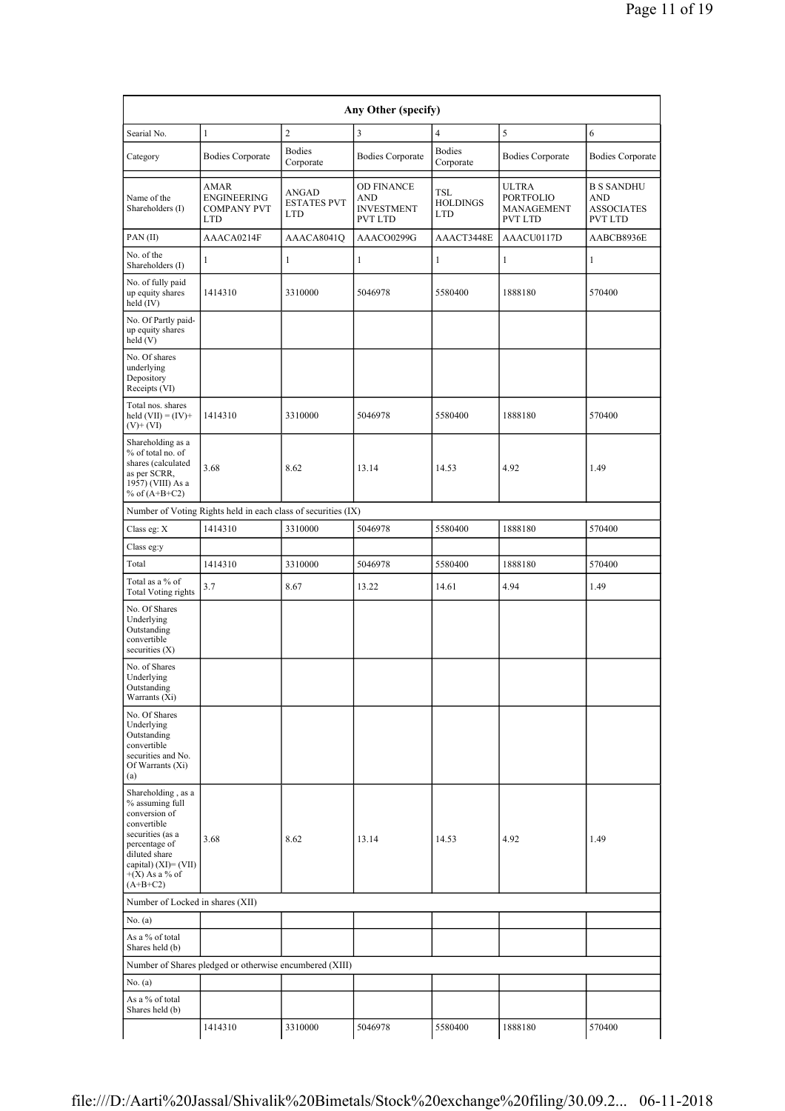|                                                                                                                                                                                          |                                                               |                                           | Any Other (specify)                                                    |                                      |                                                                  |                                                                 |
|------------------------------------------------------------------------------------------------------------------------------------------------------------------------------------------|---------------------------------------------------------------|-------------------------------------------|------------------------------------------------------------------------|--------------------------------------|------------------------------------------------------------------|-----------------------------------------------------------------|
| Searial No.                                                                                                                                                                              | $\mathbf{1}$                                                  | $\overline{c}$                            | $\overline{\mathbf{3}}$                                                | $\overline{4}$                       | 5                                                                | 6                                                               |
| Category                                                                                                                                                                                 | <b>Bodies Corporate</b>                                       | <b>Bodies</b><br>Corporate                | <b>Bodies Corporate</b>                                                | <b>Bodies</b><br>Corporate           | <b>Bodies Corporate</b>                                          | <b>Bodies Corporate</b>                                         |
| Name of the<br>Shareholders (I)                                                                                                                                                          | AMAR<br>ENGINEERING<br><b>COMPANY PVT</b><br><b>LTD</b>       | <b>ANGAD</b><br><b>ESTATES PVT</b><br>LTD | <b>OD FINANCE</b><br><b>AND</b><br><b>INVESTMENT</b><br><b>PVT LTD</b> | TSL<br><b>HOLDINGS</b><br><b>LTD</b> | <b>ULTRA</b><br><b>PORTFOLIO</b><br>MANAGEMENT<br><b>PVT LTD</b> | <b>B S SANDHU</b><br><b>AND</b><br><b>ASSOCIATES</b><br>PVT LTD |
| PAN(II)                                                                                                                                                                                  | AAACA0214F                                                    | AAACA8041Q                                | AAACO0299G                                                             | AAACT3448E                           | AAACU0117D                                                       | AABCB8936E                                                      |
| No. of the<br>Shareholders (I)                                                                                                                                                           | 1                                                             | $\mathbf{1}$                              | $\mathbf{1}$                                                           | $\mathbf{1}$                         | 1                                                                | 1                                                               |
| No. of fully paid<br>up equity shares<br>held (IV)                                                                                                                                       | 1414310                                                       | 3310000                                   | 5046978                                                                | 5580400                              | 1888180                                                          | 570400                                                          |
| No. Of Partly paid-<br>up equity shares<br>held (V)                                                                                                                                      |                                                               |                                           |                                                                        |                                      |                                                                  |                                                                 |
| No. Of shares<br>underlying<br>Depository<br>Receipts (VI)                                                                                                                               |                                                               |                                           |                                                                        |                                      |                                                                  |                                                                 |
| Total nos. shares<br>held $(VII) = (IV) +$<br>$(V)$ + $(VI)$                                                                                                                             | 1414310                                                       | 3310000                                   | 5046978                                                                | 5580400                              | 1888180                                                          | 570400                                                          |
| Shareholding as a<br>% of total no. of<br>shares (calculated<br>as per SCRR,<br>1957) (VIII) As a<br>% of $(A+B+C2)$                                                                     | 3.68                                                          | 8.62                                      | 13.14                                                                  | 14.53                                | 4.92                                                             | 1.49                                                            |
|                                                                                                                                                                                          | Number of Voting Rights held in each class of securities (IX) |                                           |                                                                        |                                      |                                                                  |                                                                 |
| Class eg: X                                                                                                                                                                              | 1414310                                                       | 3310000                                   | 5046978                                                                | 5580400                              | 1888180                                                          | 570400                                                          |
| Class eg:y                                                                                                                                                                               |                                                               |                                           |                                                                        |                                      |                                                                  |                                                                 |
| Total                                                                                                                                                                                    | 1414310                                                       | 3310000                                   | 5046978                                                                | 5580400                              | 1888180                                                          | 570400                                                          |
| Total as a % of<br><b>Total Voting rights</b>                                                                                                                                            | 3.7                                                           | 8.67                                      | 13.22                                                                  | 14.61                                | 4.94                                                             | 1.49                                                            |
| No. Of Shares<br>Underlying<br>Outstanding<br>convertible<br>securities $(X)$                                                                                                            |                                                               |                                           |                                                                        |                                      |                                                                  |                                                                 |
| No. of Shares<br>Underlying<br>Outstanding<br>Warrants (Xi)                                                                                                                              |                                                               |                                           |                                                                        |                                      |                                                                  |                                                                 |
| No. Of Shares<br>Underlying<br>Outstanding<br>convertible<br>securities and No.<br>Of Warrants (Xi)<br>(a)                                                                               |                                                               |                                           |                                                                        |                                      |                                                                  |                                                                 |
| Shareholding, as a<br>% assuming full<br>conversion of<br>convertible<br>securities (as a<br>percentage of<br>diluted share<br>capital) $(XI) = (VII)$<br>$+(X)$ As a % of<br>$(A+B+C2)$ | 3.68                                                          | 8.62                                      | 13.14                                                                  | 14.53                                | 4.92                                                             | 1.49                                                            |
| Number of Locked in shares (XII)                                                                                                                                                         |                                                               |                                           |                                                                        |                                      |                                                                  |                                                                 |
| No. $(a)$                                                                                                                                                                                |                                                               |                                           |                                                                        |                                      |                                                                  |                                                                 |
| As a % of total<br>Shares held (b)                                                                                                                                                       |                                                               |                                           |                                                                        |                                      |                                                                  |                                                                 |
|                                                                                                                                                                                          | Number of Shares pledged or otherwise encumbered (XIII)       |                                           |                                                                        |                                      |                                                                  |                                                                 |
| No. (a)                                                                                                                                                                                  |                                                               |                                           |                                                                        |                                      |                                                                  |                                                                 |
| As a % of total<br>Shares held (b)                                                                                                                                                       |                                                               |                                           |                                                                        |                                      |                                                                  |                                                                 |
|                                                                                                                                                                                          | 1414310                                                       | 3310000                                   | 5046978                                                                | 5580400                              | 1888180                                                          | 570400                                                          |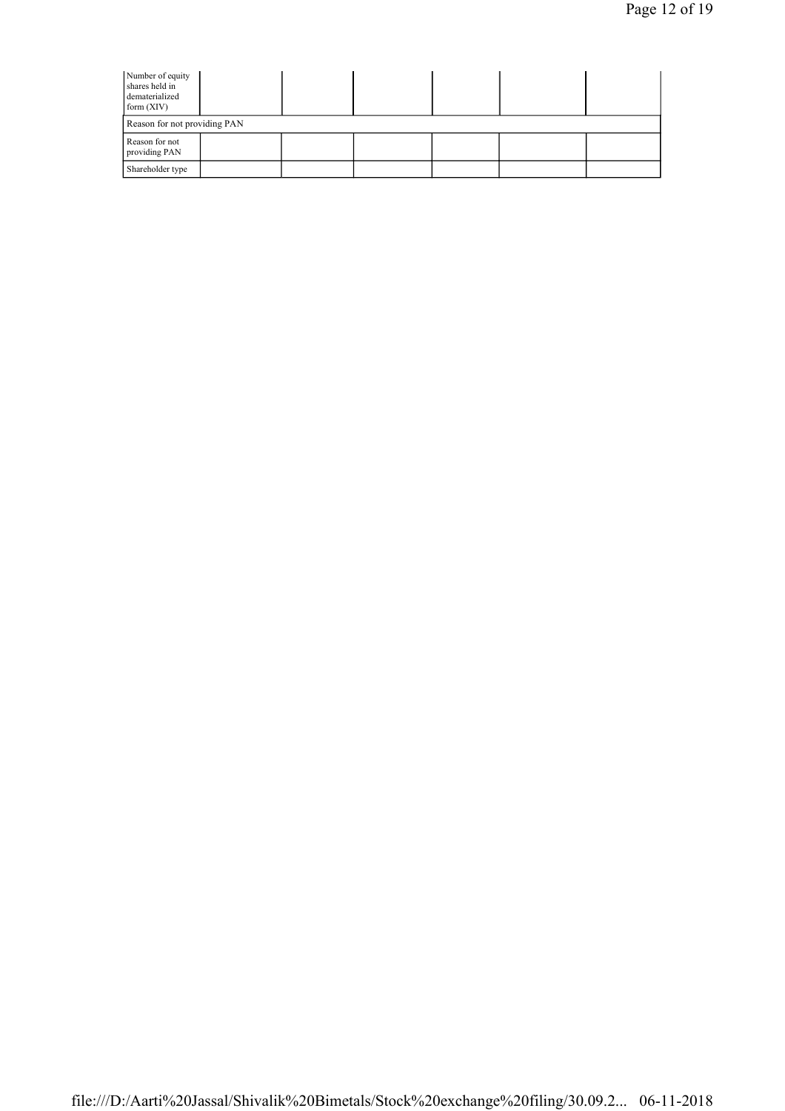| Number of equity<br>shares held in<br>dematerialized<br>form $(XIV)$ |  |  |  |
|----------------------------------------------------------------------|--|--|--|
| Reason for not providing PAN                                         |  |  |  |
| Reason for not<br>providing PAN                                      |  |  |  |
| Shareholder type                                                     |  |  |  |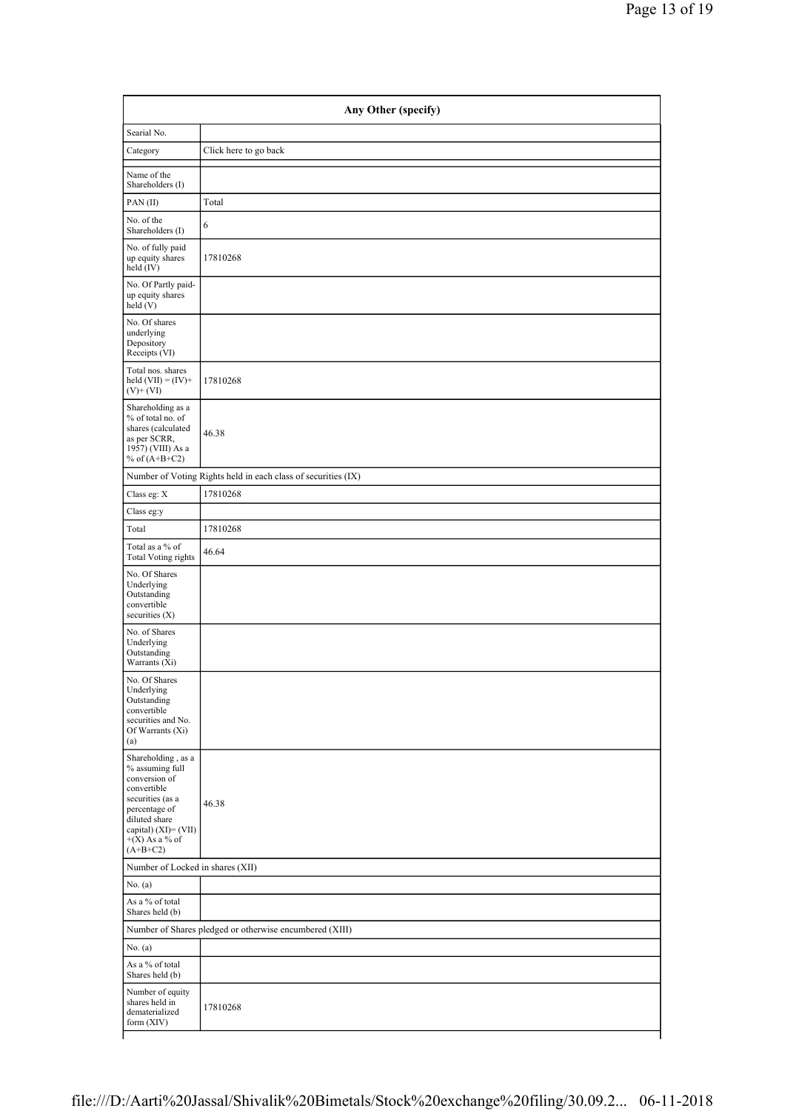| Searial No.                                                                                                                                                                           |                                                               |
|---------------------------------------------------------------------------------------------------------------------------------------------------------------------------------------|---------------------------------------------------------------|
| Category                                                                                                                                                                              | Click here to go back                                         |
| Name of the                                                                                                                                                                           |                                                               |
| Shareholders (I)                                                                                                                                                                      |                                                               |
| PAN(II)                                                                                                                                                                               | Total                                                         |
| No. of the<br>Shareholders (I)                                                                                                                                                        | $\sqrt{6}$                                                    |
| No. of fully paid<br>up equity shares<br>held (IV)                                                                                                                                    | 17810268                                                      |
| No. Of Partly paid-<br>up equity shares<br>held(V)                                                                                                                                    |                                                               |
| No. Of shares<br>underlying<br>Depository<br>Receipts (VI)                                                                                                                            |                                                               |
| Total nos. shares<br>held $(VII) = (IV) +$<br>$(V) + (VI)$                                                                                                                            | 17810268                                                      |
| Shareholding as a<br>% of total no. of<br>shares (calculated<br>as per SCRR,<br>1957) (VIII) As a<br>% of $(A+B+C2)$                                                                  | 46.38                                                         |
|                                                                                                                                                                                       | Number of Voting Rights held in each class of securities (IX) |
| Class eg: $\mathbf X$                                                                                                                                                                 | 17810268                                                      |
| Class eg:y                                                                                                                                                                            |                                                               |
| Total                                                                                                                                                                                 | 17810268                                                      |
| Total as a % of<br><b>Total Voting rights</b>                                                                                                                                         | 46.64                                                         |
| No. Of Shares<br>Underlying<br>Outstanding<br>convertible<br>securities (X)                                                                                                           |                                                               |
| No. of Shares<br>Underlying<br>Outstanding<br>Warrants (Xi)                                                                                                                           |                                                               |
| No. Of Shares<br>Underlying<br>Outstanding<br>convertible<br>securities and No.<br>Of Warrants (Xi)<br>(a)                                                                            |                                                               |
| Shareholding, as a<br>% assuming full<br>conversion of<br>convertible<br>securities (as a<br>percentage of<br>diluted share<br>capital) (XI)= (VII)<br>$+(X)$ As a % of<br>$(A+B+C2)$ | 46.38                                                         |
| Number of Locked in shares (XII)                                                                                                                                                      |                                                               |
| No. (a)                                                                                                                                                                               |                                                               |
| As a % of total<br>Shares held (b)                                                                                                                                                    |                                                               |
|                                                                                                                                                                                       | Number of Shares pledged or otherwise encumbered (XIII)       |
| No. (a)                                                                                                                                                                               |                                                               |
| As a % of total<br>Shares held (b)                                                                                                                                                    |                                                               |
| Number of equity<br>shares held in<br>dematerialized                                                                                                                                  | 17810268                                                      |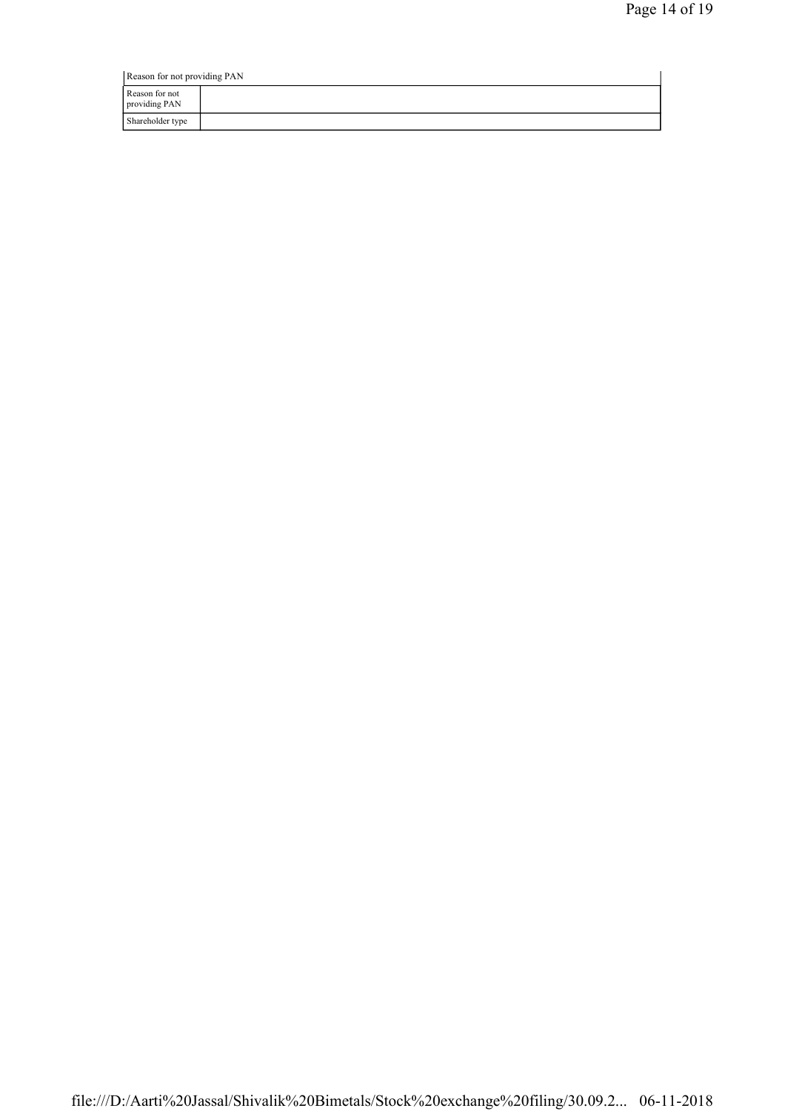| Reason for not providing PAN    |  |  |
|---------------------------------|--|--|
| Reason for not<br>providing PAN |  |  |
| Shareholder type                |  |  |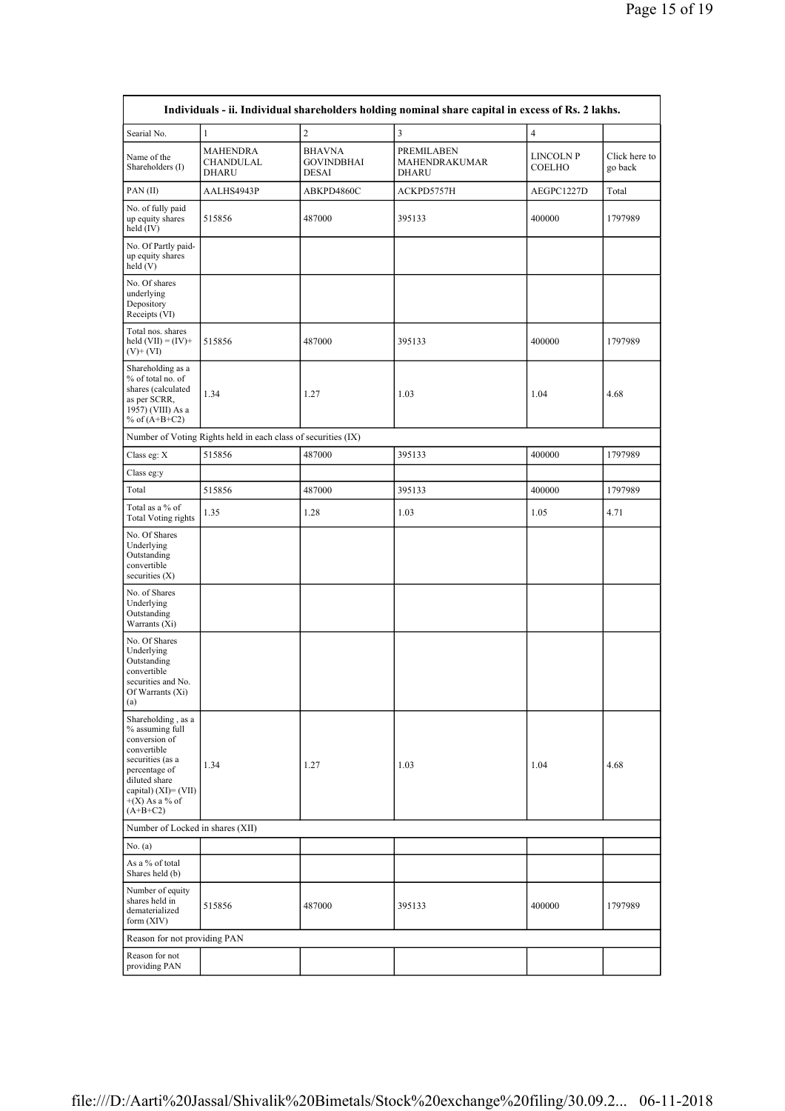| Individuals - ii. Individual shareholders holding nominal share capital in excess of Rs. 2 lakhs.                                                                                     |                                                               |                                                    |                                                                                  |                |                          |  |
|---------------------------------------------------------------------------------------------------------------------------------------------------------------------------------------|---------------------------------------------------------------|----------------------------------------------------|----------------------------------------------------------------------------------|----------------|--------------------------|--|
| Searial No.                                                                                                                                                                           | $\mathbf{1}$                                                  | $\overline{2}$<br>$\overline{3}$                   |                                                                                  | $\overline{4}$ |                          |  |
| Name of the<br>Shareholders (I)                                                                                                                                                       | MAHENDRA<br>CHANDULAL<br><b>DHARU</b>                         | <b>BHAVNA</b><br><b>GOVINDBHAI</b><br><b>DESAI</b> | PREMILABEN<br><b>LINCOLN P</b><br>MAHENDRAKUMAR<br><b>COELHO</b><br><b>DHARU</b> |                | Click here to<br>go back |  |
| PAN(II)                                                                                                                                                                               | AALHS4943P                                                    | ABKPD4860C                                         | ACKPD5757H                                                                       | AEGPC1227D     | Total                    |  |
| No. of fully paid<br>up equity shares<br>held (IV)                                                                                                                                    | 515856                                                        | 487000                                             | 395133                                                                           | 400000         | 1797989                  |  |
| No. Of Partly paid-<br>up equity shares<br>held (V)                                                                                                                                   |                                                               |                                                    |                                                                                  |                |                          |  |
| No. Of shares<br>underlying<br>Depository<br>Receipts (VI)                                                                                                                            |                                                               |                                                    |                                                                                  |                |                          |  |
| Total nos. shares<br>held $(VII) = (IV) +$<br>$(V)$ + $(VI)$                                                                                                                          | 515856                                                        | 487000                                             | 395133                                                                           | 400000         | 1797989                  |  |
| Shareholding as a<br>% of total no. of<br>shares (calculated<br>as per SCRR,<br>1957) (VIII) As a<br>% of $(A+B+C2)$                                                                  | 1.34                                                          | 1.27                                               | 1.03                                                                             | 1.04           | 4.68                     |  |
|                                                                                                                                                                                       | Number of Voting Rights held in each class of securities (IX) |                                                    |                                                                                  |                |                          |  |
| Class eg: X                                                                                                                                                                           | 515856                                                        | 487000                                             | 395133                                                                           | 400000         | 1797989                  |  |
| Class eg:y                                                                                                                                                                            |                                                               |                                                    |                                                                                  |                |                          |  |
| Total                                                                                                                                                                                 | 515856                                                        | 487000                                             | 395133                                                                           | 400000         | 1797989                  |  |
| Total as a % of<br><b>Total Voting rights</b>                                                                                                                                         | 1.35                                                          | 1.28                                               | 1.03                                                                             | 1.05           | 4.71                     |  |
| No. Of Shares<br>Underlying<br>Outstanding<br>convertible<br>securities $(X)$                                                                                                         |                                                               |                                                    |                                                                                  |                |                          |  |
| No. of Shares<br>Underlying<br>Outstanding<br>Warrants (Xi)                                                                                                                           |                                                               |                                                    |                                                                                  |                |                          |  |
| No. Of Shares<br>Underlying<br>Outstanding<br>convertible<br>securities and No.<br>Of Warrants $(X_i)$<br>(a)                                                                         |                                                               |                                                    |                                                                                  |                |                          |  |
| Shareholding, as a<br>% assuming full<br>conversion of<br>convertible<br>securities (as a<br>percentage of<br>diluted share<br>capital) (XI)= (VII)<br>$+(X)$ As a % of<br>$(A+B+C2)$ | 1.34                                                          | 1.27                                               | 1.03                                                                             | 1.04           | 4.68                     |  |
| Number of Locked in shares (XII)                                                                                                                                                      |                                                               |                                                    |                                                                                  |                |                          |  |
| No. (a)                                                                                                                                                                               |                                                               |                                                    |                                                                                  |                |                          |  |
| As a % of total<br>Shares held (b)                                                                                                                                                    |                                                               |                                                    |                                                                                  |                |                          |  |
| Number of equity<br>shares held in<br>dematerialized<br>form (XIV)                                                                                                                    | 515856                                                        | 487000                                             | 395133<br>400000                                                                 |                | 1797989                  |  |
| Reason for not providing PAN                                                                                                                                                          |                                                               |                                                    |                                                                                  |                |                          |  |
| Reason for not<br>providing PAN                                                                                                                                                       |                                                               |                                                    |                                                                                  |                |                          |  |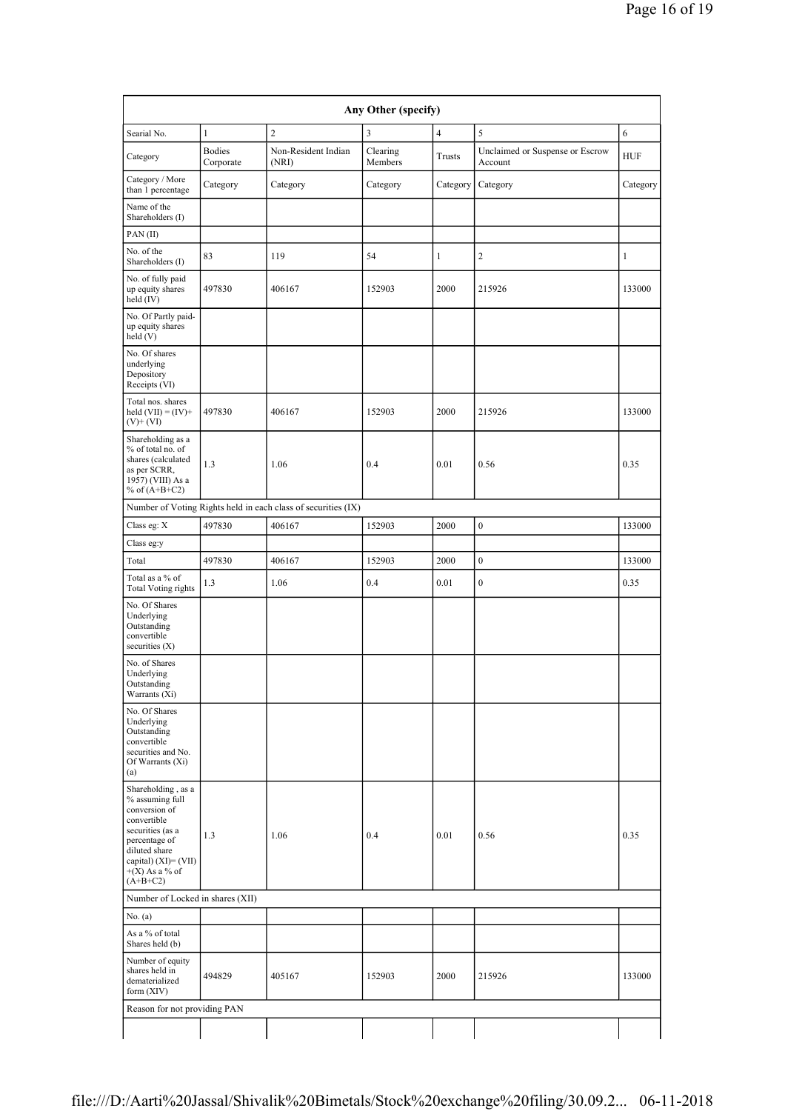| Any Other (specify)                                                                                                                                                                      |                            |                                                               |                     |                |                                            |            |
|------------------------------------------------------------------------------------------------------------------------------------------------------------------------------------------|----------------------------|---------------------------------------------------------------|---------------------|----------------|--------------------------------------------|------------|
| Searial No.                                                                                                                                                                              | $\mathbf{1}$               | $\overline{c}$                                                | 3                   | $\overline{4}$ | 5                                          | 6          |
| Category                                                                                                                                                                                 | <b>Bodies</b><br>Corporate | Non-Resident Indian<br>(NRI)                                  | Clearing<br>Members | Trusts         | Unclaimed or Suspense or Escrow<br>Account | <b>HUF</b> |
| Category / More<br>than 1 percentage                                                                                                                                                     | Category                   | Category                                                      | Category            | Category       | Category                                   | Category   |
| Name of the<br>Shareholders (I)                                                                                                                                                          |                            |                                                               |                     |                |                                            |            |
| PAN(II)                                                                                                                                                                                  |                            |                                                               |                     |                |                                            |            |
| No. of the<br>Shareholders (I)                                                                                                                                                           | 83                         | 119                                                           | 54                  | 1              | 2                                          | 1          |
| No. of fully paid<br>up equity shares<br>held (IV)                                                                                                                                       | 497830                     | 406167                                                        | 152903              | 2000           | 215926                                     | 133000     |
| No. Of Partly paid-<br>up equity shares<br>held (V)                                                                                                                                      |                            |                                                               |                     |                |                                            |            |
| No. Of shares<br>underlying<br>Depository<br>Receipts (VI)                                                                                                                               |                            |                                                               |                     |                |                                            |            |
| Total nos. shares<br>held $(VII) = (IV) +$<br>$(V)$ + $(VI)$                                                                                                                             | 497830                     | 406167                                                        | 152903              | 2000           | 215926                                     | 133000     |
| Shareholding as a<br>% of total no. of<br>shares (calculated<br>as per SCRR,<br>1957) (VIII) As a<br>% of $(A+B+C2)$                                                                     | 1.3                        | 1.06                                                          | 0.4                 | 0.01           | 0.56                                       | 0.35       |
|                                                                                                                                                                                          |                            | Number of Voting Rights held in each class of securities (IX) |                     |                |                                            |            |
| Class eg: X                                                                                                                                                                              | 497830                     | 406167                                                        | 152903              | 2000           | $\boldsymbol{0}$                           | 133000     |
| Class eg:y                                                                                                                                                                               |                            |                                                               |                     |                |                                            |            |
| Total                                                                                                                                                                                    | 497830                     | 406167                                                        | 152903              | 2000           | $\boldsymbol{0}$                           | 133000     |
| Total as a % of<br><b>Total Voting rights</b>                                                                                                                                            | 1.3                        | 1.06                                                          | 0.4                 | 0.01           | $\boldsymbol{0}$                           | 0.35       |
| No. Of Shares<br>Underlying<br>Outstanding<br>convertible<br>securities $(X)$                                                                                                            |                            |                                                               |                     |                |                                            |            |
| No. of Shares<br>Underlying<br>Outstanding<br>Warrants (Xi)                                                                                                                              |                            |                                                               |                     |                |                                            |            |
| No. Of Shares<br>Underlying<br>Outstanding<br>convertible<br>securities and No.<br>Of Warrants (Xi)<br>(a)                                                                               |                            |                                                               |                     |                |                                            |            |
| Shareholding, as a<br>% assuming full<br>conversion of<br>convertible<br>securities (as a<br>percentage of<br>diluted share<br>capital) $(XI) = (VII)$<br>$+(X)$ As a % of<br>$(A+B+C2)$ | 1.3                        | 1.06                                                          | 0.4                 | 0.01           | 0.56                                       | 0.35       |
| Number of Locked in shares (XII)                                                                                                                                                         |                            |                                                               |                     |                |                                            |            |
| No. (a)                                                                                                                                                                                  |                            |                                                               |                     |                |                                            |            |
| As a % of total<br>Shares held (b)                                                                                                                                                       |                            |                                                               |                     |                |                                            |            |
| Number of equity<br>shares held in<br>dematerialized<br>form (XIV)                                                                                                                       | 494829                     | 405167                                                        | 152903              | 2000           | 215926                                     | 133000     |
| Reason for not providing PAN                                                                                                                                                             |                            |                                                               |                     |                |                                            |            |
|                                                                                                                                                                                          |                            |                                                               |                     |                |                                            |            |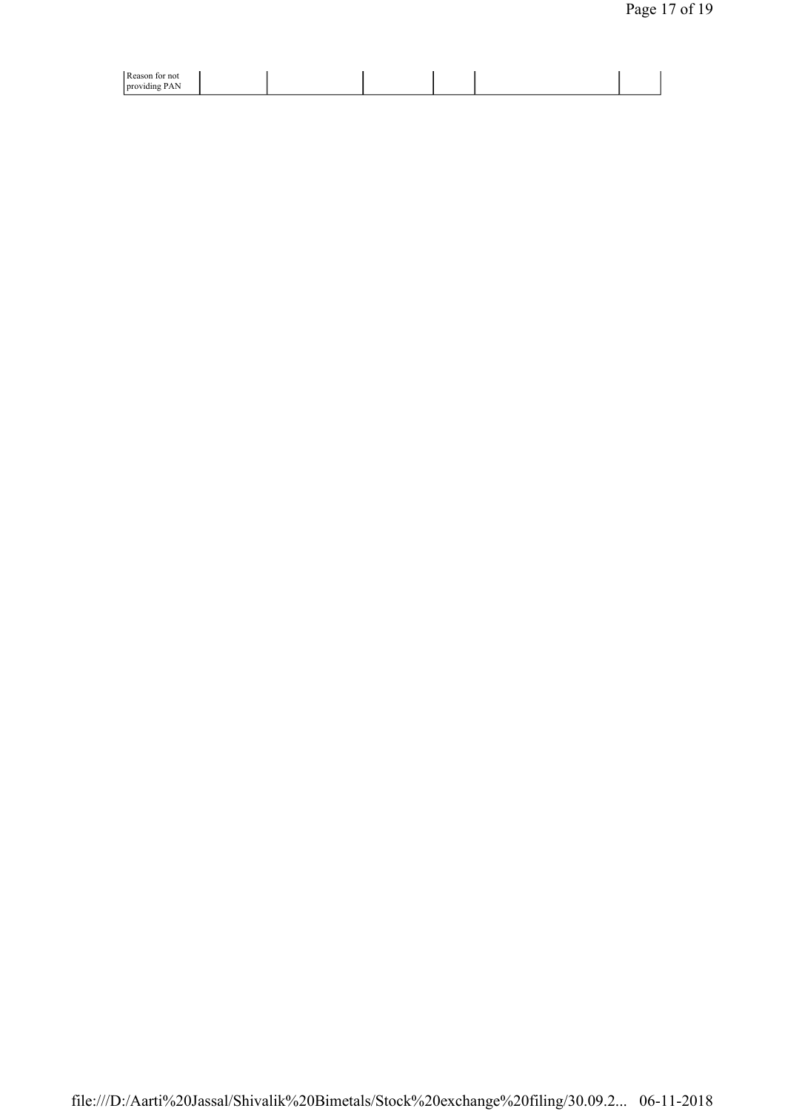| Reaso<br>not<br>νr                                    |  |  |  |
|-------------------------------------------------------|--|--|--|
| <b>DrO</b><br>$\mathbf{v}$<br>ташь<br>$\overline{11}$ |  |  |  |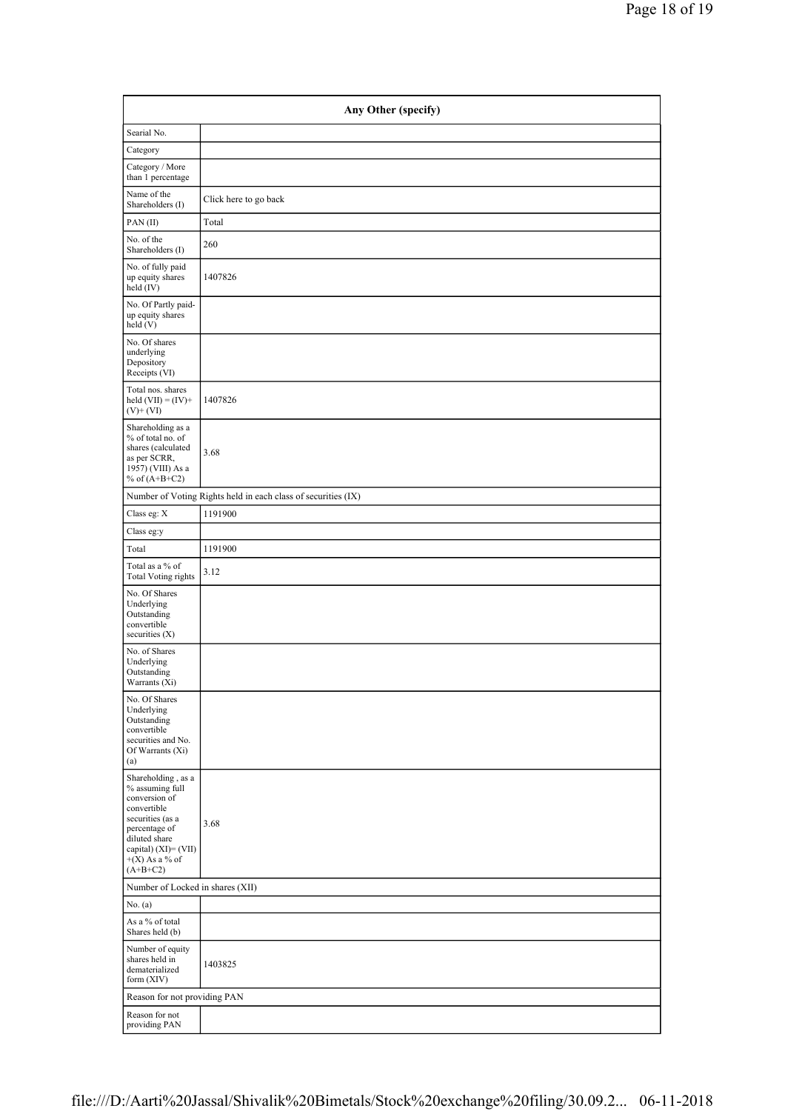| Any Other (specify)                                                                                                                                                                      |                                                               |  |  |  |  |
|------------------------------------------------------------------------------------------------------------------------------------------------------------------------------------------|---------------------------------------------------------------|--|--|--|--|
| Searial No.                                                                                                                                                                              |                                                               |  |  |  |  |
| Category                                                                                                                                                                                 |                                                               |  |  |  |  |
| Category / More<br>than 1 percentage                                                                                                                                                     |                                                               |  |  |  |  |
| Name of the<br>Shareholders (I)                                                                                                                                                          | Click here to go back                                         |  |  |  |  |
| PAN(II)                                                                                                                                                                                  | Total                                                         |  |  |  |  |
| No. of the<br>Shareholders (I)                                                                                                                                                           | 260                                                           |  |  |  |  |
| No. of fully paid<br>up equity shares<br>held (IV)                                                                                                                                       | 1407826                                                       |  |  |  |  |
| No. Of Partly paid-<br>up equity shares<br>held(V)                                                                                                                                       |                                                               |  |  |  |  |
| No. Of shares<br>underlying<br>Depository<br>Receipts (VI)                                                                                                                               |                                                               |  |  |  |  |
| Total nos. shares<br>held $(VII) = (IV) +$<br>$(V)+(VI)$                                                                                                                                 | 1407826                                                       |  |  |  |  |
| Shareholding as a<br>% of total no. of<br>shares (calculated<br>as per SCRR,<br>1957) (VIII) As a<br>% of $(A+B+C2)$                                                                     | 3.68                                                          |  |  |  |  |
|                                                                                                                                                                                          | Number of Voting Rights held in each class of securities (IX) |  |  |  |  |
| Class eg: $\mathbf X$                                                                                                                                                                    | 1191900                                                       |  |  |  |  |
| Class eg:y                                                                                                                                                                               |                                                               |  |  |  |  |
| Total                                                                                                                                                                                    | 1191900                                                       |  |  |  |  |
| Total as a % of<br><b>Total Voting rights</b>                                                                                                                                            | 3.12                                                          |  |  |  |  |
| No. Of Shares<br>Underlying<br>Outstanding<br>convertible<br>securities $(X)$                                                                                                            |                                                               |  |  |  |  |
| No. of Shares<br>Underlying<br>Outstanding<br>Warrants (Xi)                                                                                                                              |                                                               |  |  |  |  |
| No. Of Shares<br>Underlying<br>Outstanding<br>convertible<br>securities and No.<br>Of Warrants (Xi)<br>(a)                                                                               |                                                               |  |  |  |  |
| Shareholding, as a<br>% assuming full<br>conversion of<br>convertible<br>securities (as a<br>percentage of<br>diluted share<br>capital) $(XI) = (VII)$<br>$+(X)$ As a % of<br>$(A+B+C2)$ | 3.68                                                          |  |  |  |  |
| Number of Locked in shares (XII)                                                                                                                                                         |                                                               |  |  |  |  |
| No. (a)                                                                                                                                                                                  |                                                               |  |  |  |  |
| As a % of total<br>Shares held (b)                                                                                                                                                       |                                                               |  |  |  |  |
| Number of equity<br>shares held in<br>dematerialized<br>form $(XIV)$                                                                                                                     | 1403825                                                       |  |  |  |  |
| Reason for not providing PAN                                                                                                                                                             |                                                               |  |  |  |  |
| Reason for not<br>providing PAN                                                                                                                                                          |                                                               |  |  |  |  |